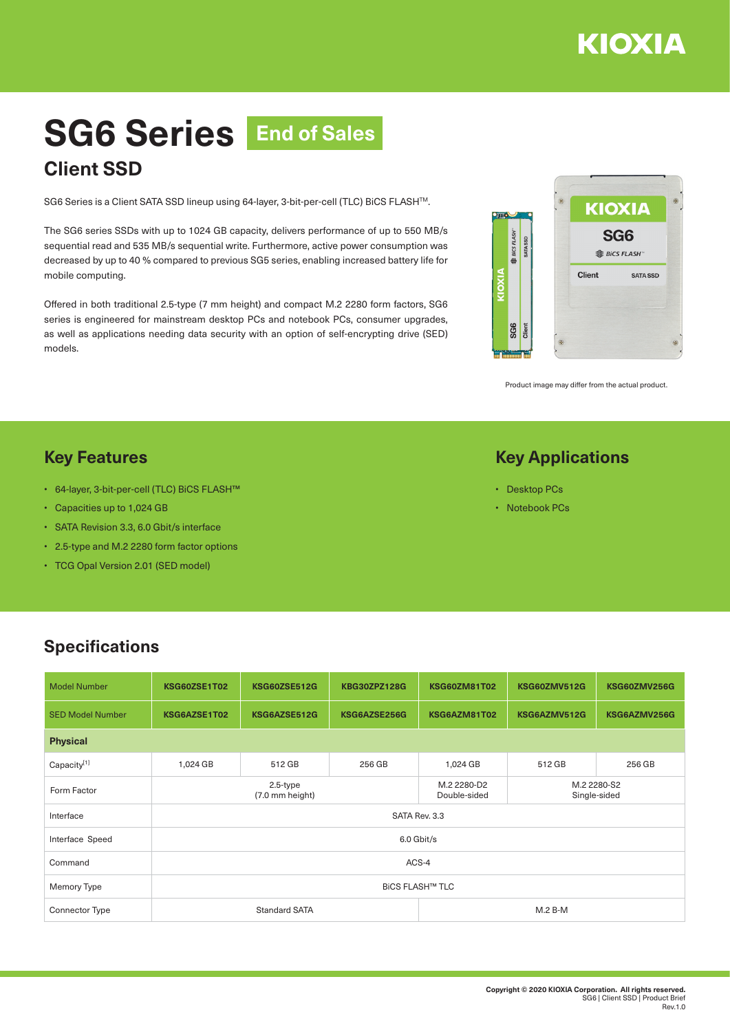

# **SG6 Series End of SalesClient SSD**

SG6 Series is a Client SATA SSD lineup using 64-layer, 3-bit-per-cell (TLC) BiCS FLASHTM.

The SG6 series SSDs with up to 1024 GB capacity, delivers performance of up to 550 MB/s sequential read and 535 MB/s sequential write. Furthermore, active power consumption was decreased by up to 40 % compared to previous SG5 series, enabling increased battery life for mobile computing.

Offered in both traditional 2.5-type (7 mm height) and compact M.2 2280 form factors, SG6 series is engineered for mainstream desktop PCs and notebook PCs, consumer upgrades, as well as applications needing data security with an option of self-encrypting drive (SED) models.



Product image may differ from the actual product.

#### **Key Features**

- 64-layer, 3-bit-per-cell (TLC) BiCS FLASH™
- Capacities up to 1,024 GB
- SATA Revision 3.3, 6.0 Gbit/s interface
- 2.5-type and M.2 2280 form factor options
- TCG Opal Version 2.01 (SED model)

#### **Key Applications**

- Desktop PCs
- Notebook PCs

## **Specifications**

| <b>Model Number</b>     | KSG60ZSE1T02                   | <b>KSG60ZSE512G</b>  | <b>KBG30ZPZ128G</b>         | <b>KSG60ZM81T02</b>         | <b>KSG60ZMV512G</b> | KSG60ZMV256G |  |  |  |  |
|-------------------------|--------------------------------|----------------------|-----------------------------|-----------------------------|---------------------|--------------|--|--|--|--|
| <b>SED Model Number</b> | KSG6AZSE1T02                   | KSG6AZSE512G         | KSG6AZSE256G                | KSG6AZM81T02                | KSG6AZMV512G        | KSG6AZMV256G |  |  |  |  |
| <b>Physical</b>         |                                |                      |                             |                             |                     |              |  |  |  |  |
| Capacity[1]             | 1,024 GB                       | 512 GB               | 256 GB                      | 1,024 GB                    | 512 GB              | 256 GB       |  |  |  |  |
| Form Factor             | $2.5$ -type<br>(7.0 mm height) |                      | M.2 2280-D2<br>Double-sided | M.2 2280-S2<br>Single-sided |                     |              |  |  |  |  |
| Interface               | SATA Rev. 3.3                  |                      |                             |                             |                     |              |  |  |  |  |
| Interface Speed         | 6.0 Gbit/s                     |                      |                             |                             |                     |              |  |  |  |  |
| Command                 | ACS-4                          |                      |                             |                             |                     |              |  |  |  |  |
| Memory Type             | <b>BICS FLASH™ TLC</b>         |                      |                             |                             |                     |              |  |  |  |  |
| Connector Type          |                                | <b>Standard SATA</b> |                             | $M.2 B-M$                   |                     |              |  |  |  |  |